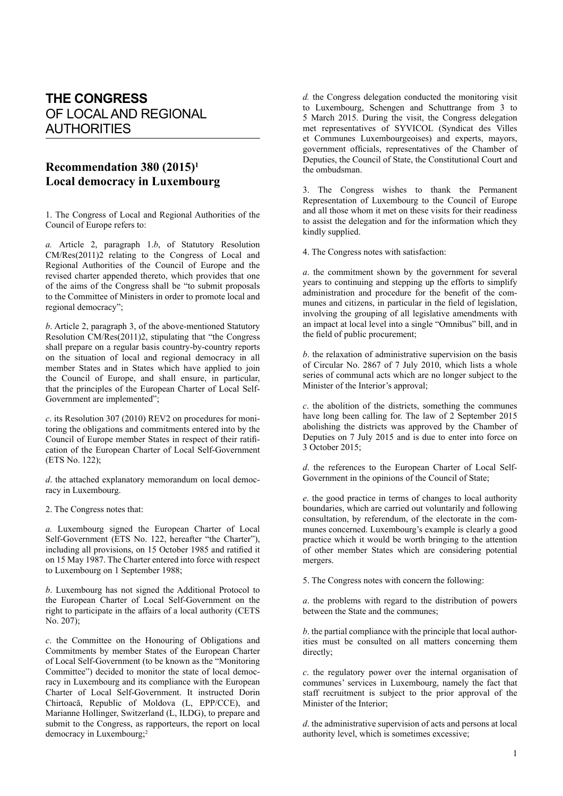## **THE CONGRESS** OF LOCAL AND REGIONAL AUTHORITIES

## **Recommendation 380 (2015)1 Local democracy in Luxembourg**

1. The Congress of Local and Regional Authorities of the Council of Europe refers to:

*a.* Article 2, paragraph 1.*b*, of Statutory Resolution CM/Res(2011)2 relating to the Congress of Local and Regional Authorities of the Council of Europe and the revised charter appended thereto, which provides that one of the aims of the Congress shall be "to submit proposals to the Committee of Ministers in order to promote local and regional democracy";

*b*. Article 2, paragraph 3, of the above-mentioned Statutory Resolution CM/Res(2011)2, stipulating that "the Congress shall prepare on a regular basis country-by-country reports on the situation of local and regional democracy in all member States and in States which have applied to join the Council of Europe, and shall ensure, in particular, that the principles of the European Charter of Local Self-Government are implemented";

*c*. its Resolution 307 (2010) REV2 on procedures for monitoring the obligations and commitments entered into by the Council of Europe member States in respect of their ratification of the European Charter of Local Self-Government (ETS No. 122);

*d*. the attached explanatory memorandum on local democracy in Luxembourg.

2. The Congress notes that:

*a.* Luxembourg signed the European Charter of Local Self-Government (ETS No. 122, hereafter "the Charter"), including all provisions, on 15 October 1985 and ratified it on 15 May 1987. The Charter entered into force with respect to Luxembourg on 1 September 1988;

*b*. Luxembourg has not signed the Additional Protocol to the European Charter of Local Self-Government on the right to participate in the affairs of a local authority (CETS No. 207);

*c*. the Committee on the Honouring of Obligations and Commitments by member States of the European Charter of Local Self-Government (to be known as the "Monitoring Committee") decided to monitor the state of local democracy in Luxembourg and its compliance with the European Charter of Local Self-Government. It instructed Dorin Chirtoacă, Republic of Moldova (L, EPP/CCE), and Marianne Hollinger, Switzerland (L, ILDG), to prepare and submit to the Congress, as rapporteurs, the report on local democracy in Luxembourg;<sup>2</sup>

*d.* the Congress delegation conducted the monitoring visit to Luxembourg, Schengen and Schuttrange from 3 to 5 March 2015. During the visit, the Congress delegation met representatives of SYVICOL (Syndicat des Villes et Communes Luxembourgeoises) and experts, mayors, government officials, representatives of the Chamber of Deputies, the Council of State, the Constitutional Court and the ombudsman.

3. The Congress wishes to thank the Permanent Representation of Luxembourg to the Council of Europe and all those whom it met on these visits for their readiness to assist the delegation and for the information which they kindly supplied.

4. The Congress notes with satisfaction:

*a*. the commitment shown by the government for several years to continuing and stepping up the efforts to simplify administration and procedure for the benefit of the communes and citizens, in particular in the field of legislation, involving the grouping of all legislative amendments with an impact at local level into a single "Omnibus" bill, and in the field of public procurement;

*b*. the relaxation of administrative supervision on the basis of Circular No. 2867 of 7 July 2010, which lists a whole series of communal acts which are no longer subject to the Minister of the Interior's approval;

*c*. the abolition of the districts, something the communes have long been calling for. The law of 2 September 2015 abolishing the districts was approved by the Chamber of Deputies on 7 July 2015 and is due to enter into force on 3 October 2015;

*d*. the references to the European Charter of Local Self-Government in the opinions of the Council of State;

*e*. the good practice in terms of changes to local authority boundaries, which are carried out voluntarily and following consultation, by referendum, of the electorate in the communes concerned. Luxembourg's example is clearly a good practice which it would be worth bringing to the attention of other member States which are considering potential mergers.

5. The Congress notes with concern the following:

*a*. the problems with regard to the distribution of powers between the State and the communes;

*b*. the partial compliance with the principle that local authorities must be consulted on all matters concerning them directly;

*c*. the regulatory power over the internal organisation of communes' services in Luxembourg, namely the fact that staff recruitment is subject to the prior approval of the Minister of the Interior;

*d*. the administrative supervision of acts and persons at local authority level, which is sometimes excessive;